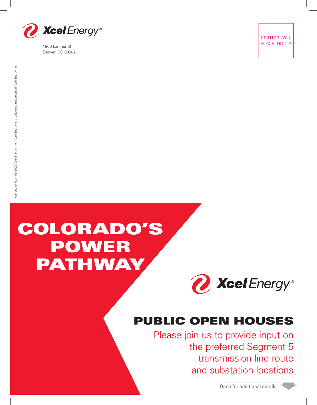

1800 Larimer St. Denver, CO 80202

PRINTER WILL PLACE INDICIA

# xcelenergy.com | © 2022 Xcel Energy Inc. | Xcel Energy is a registered trademark of Xcel Energy Inc. xcelenergy.com | © 2022 Xcel Energy Inc. | Xcel Energy is a registered trademark of Xcel Energy Inc.

## COLORADO'S POWER PATHWAY



### PUBLIC OPEN HOUSES

Please join us to provide input on the preferred Segment 5 transmission line route and substation locations

Open for additional details